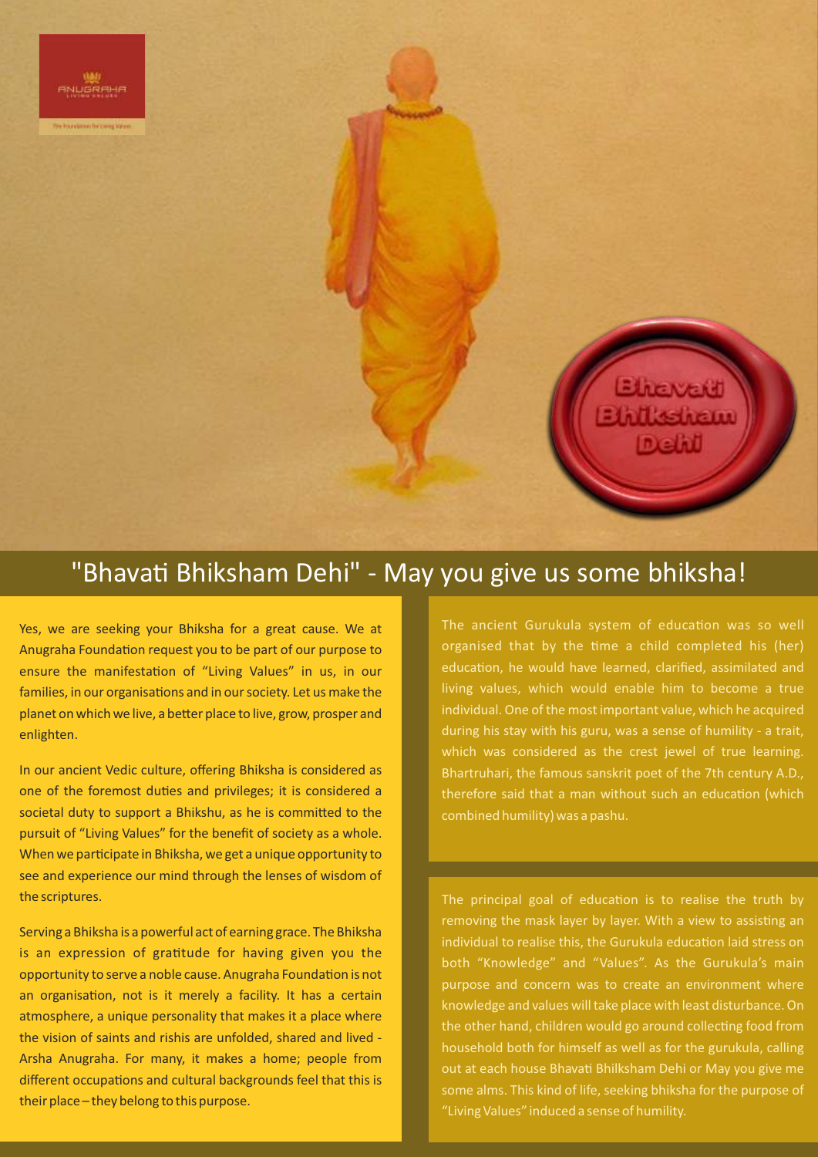

## "Bhavati Bhiksham Dehi" - May you give us some bhiksha!

Yes, we are seeking your Bhiksha for a great cause. We at Anugraha Foundation request you to be part of our purpose to ensure the manifestation of "Living Values" in us, in our families, in our organisations and in our society. Let us make the planet on which we live, a better place to live, grow, prosper and enlighten.

In our ancient Vedic culture, offering Bhiksha is considered as one of the foremost duties and privileges; it is considered a societal duty to support a Bhikshu, as he is committed to the pursuit of "Living Values" for the benefit of society as a whole. When we participate in Bhiksha, we get a unique opportunity to see and experience our mind through the lenses of wisdom of the scriptures.

Serving a Bhiksha is a powerful act of earning grace. The Bhiksha is an expression of gratitude for having given you the opportunity to serve a noble cause. Anugraha Foundation is not an organisation, not is it merely a facility. It has a certain atmosphere, a unique personality that makes it a place where the vision of saints and rishis are unfolded, shared and lived - Arsha Anugraha. For many, it makes a home; people from different occupations and cultural backgrounds feel that this is their place – they belong to this purpose.

The ancient Gurukula system of education was so well organised that by the time a child completed his (her) education, he would have learned, clarified, assimilated and living values, which would enable him to become a true individual. One of the most important value, which he acquired during his stay with his guru, was a sense of humility - a trait, which was considered as the crest jewel of true learning. Bhartruhari, the famous sanskrit poet of the 7th century A.D., therefore said that a man without such an education (which combined humility) was a pashu.

The principal goal of education is to realise the truth by removing the mask layer by layer. With a view to assisting an individual to realise this, the Gurukula education laid stress on both "Knowledge" and "Values". As the Gurukula's main purpose and concern was to create an environment where knowledge and values will take place with least disturbance. On the other hand, children would go around collecting food from household both for himself as well as for the gurukula, calling out at each house Bhavati Bhilksham Dehi or May you give me some alms. This kind of life, seeking bhiksha for the purpose of "Living Values" induced a sense of humility.